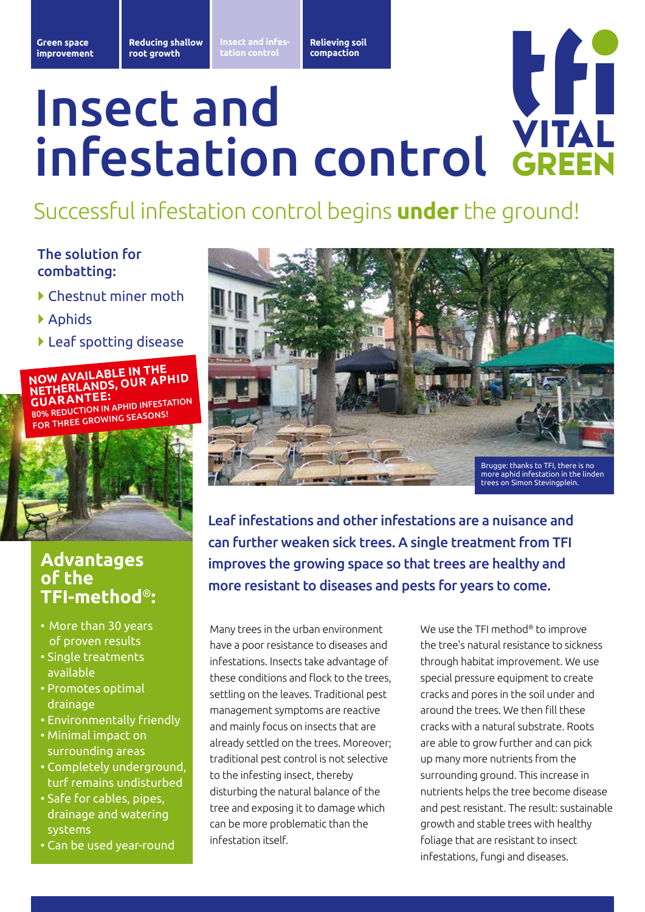**Opheffen Relieving soil bodemverdichting compaction**

# l fi Insect and VITAL infestation control GREEN

# Successful infestation control begins **under** the ground!

### The solution for combatting:

- } Chestnut miner moth
- } Aphids
- } Leaf spotting disease



## **Advantages of the TFI-method**®**:**

- More than 30 years of proven results
- Single treatments available
- Promotes optimal drainage
- Environmentally friendly
- Minimal impact on surrounding areas
- Completely underground, turf remains undisturbed
- Safe for cables, pipes, drainage and watering systems
- Can be used year-round



Leaf infestations and other infestations are a nuisance and can further weaken sick trees. A single treatment from TFI improves the growing space so that trees are healthy and more resistant to diseases and pests for years to come.

Many trees in the urban environment have a poor resistance to diseases and infestations. Insects take advantage of these conditions and flock to the trees, settling on the leaves. Traditional pest management symptoms are reactive and mainly focus on insects that are already settled on the trees. Moreover; traditional pest control is not selective to the infesting insect, thereby disturbing the natural balance of the tree and exposing it to damage which can be more problematic than the infestation itself.

We use the TFI method® to improve the tree's natural resistance to sickness through habitat improvement. We use special pressure equipment to create cracks and pores in the soil under and around the trees. We then fill these cracks with a natural substrate. Roots are able to grow further and can pick up many more nutrients from the surrounding ground. This increase in nutrients helps the tree become disease and pest resistant. The result: sustainable growth and stable trees with healthy foliage that are resistant to insect infestations, fungi and diseases.